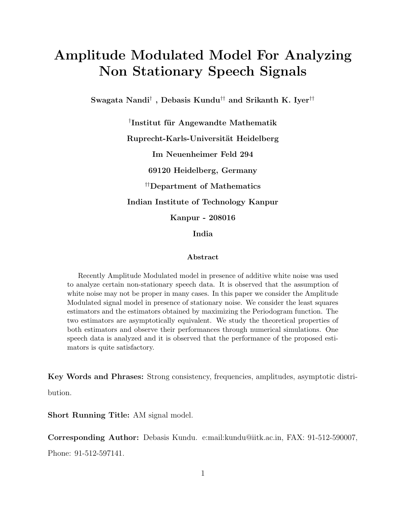# Amplitude Modulated Model For Analyzing Non Stationary Speech Signals

Swagata Nandi $^\dagger$  , Debasis Kundu $^{\dagger\dagger}$  and Srikanth K. Iyer $^{\dagger\dagger}$ 

 $\dagger$ Institut für Angewandte Mathematik Ruprecht-Karls-Universität Heidelberg Im Neuenheimer Feld 294 69120 Heidelberg, Germany ††Department of Mathematics Indian Institute of Technology Kanpur Kanpur - 208016 India

#### Abstract

Recently Amplitude Modulated model in presence of additive white noise was used to analyze certain non-stationary speech data. It is observed that the assumption of white noise may not be proper in many cases. In this paper we consider the Amplitude Modulated signal model in presence of stationary noise. We consider the least squares estimators and the estimators obtained by maximizing the Periodogram function. The two estimators are asymptotically equivalent. We study the theoretical properties of both estimators and observe their performances through numerical simulations. One speech data is analyzed and it is observed that the performance of the proposed estimators is quite satisfactory.

Key Words and Phrases: Strong consistency, frequencies, amplitudes, asymptotic distribution.

Short Running Title: AM signal model.

Corresponding Author: Debasis Kundu. e:mail:kundu@iitk.ac.in, FAX: 91-512-590007, Phone: 91-512-597141.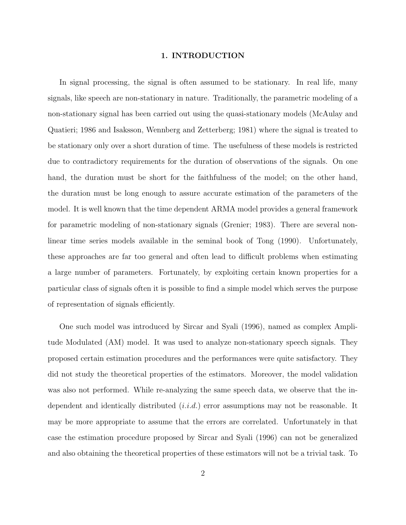#### 1. INTRODUCTION

In signal processing, the signal is often assumed to be stationary. In real life, many signals, like speech are non-stationary in nature. Traditionally, the parametric modeling of a non-stationary signal has been carried out using the quasi-stationary models (McAulay and Quatieri; 1986 and Isaksson, Wennberg and Zetterberg; 1981) where the signal is treated to be stationary only over a short duration of time. The usefulness of these models is restricted due to contradictory requirements for the duration of observations of the signals. On one hand, the duration must be short for the faithfulness of the model; on the other hand, the duration must be long enough to assure accurate estimation of the parameters of the model. It is well known that the time dependent ARMA model provides a general framework for parametric modeling of non-stationary signals (Grenier; 1983). There are several nonlinear time series models available in the seminal book of Tong (1990). Unfortunately, these approaches are far too general and often lead to difficult problems when estimating a large number of parameters. Fortunately, by exploiting certain known properties for a particular class of signals often it is possible to find a simple model which serves the purpose of representation of signals efficiently.

One such model was introduced by Sircar and Syali (1996), named as complex Amplitude Modulated (AM) model. It was used to analyze non-stationary speech signals. They proposed certain estimation procedures and the performances were quite satisfactory. They did not study the theoretical properties of the estimators. Moreover, the model validation was also not performed. While re-analyzing the same speech data, we observe that the independent and identically distributed  $(i.i.d.)$  error assumptions may not be reasonable. It may be more appropriate to assume that the errors are correlated. Unfortunately in that case the estimation procedure proposed by Sircar and Syali (1996) can not be generalized and also obtaining the theoretical properties of these estimators will not be a trivial task. To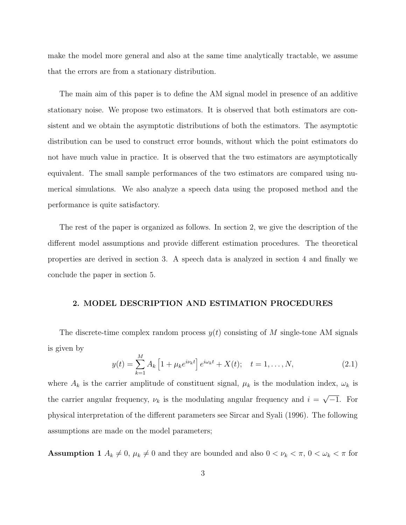make the model more general and also at the same time analytically tractable, we assume that the errors are from a stationary distribution.

The main aim of this paper is to define the AM signal model in presence of an additive stationary noise. We propose two estimators. It is observed that both estimators are consistent and we obtain the asymptotic distributions of both the estimators. The asymptotic distribution can be used to construct error bounds, without which the point estimators do not have much value in practice. It is observed that the two estimators are asymptotically equivalent. The small sample performances of the two estimators are compared using numerical simulations. We also analyze a speech data using the proposed method and the performance is quite satisfactory.

The rest of the paper is organized as follows. In section 2, we give the description of the different model assumptions and provide different estimation procedures. The theoretical properties are derived in section 3. A speech data is analyzed in section 4 and finally we conclude the paper in section 5.

## 2. MODEL DESCRIPTION AND ESTIMATION PROCEDURES

The discrete-time complex random process  $y(t)$  consisting of M single-tone AM signals is given by

$$
y(t) = \sum_{k=1}^{M} A_k \left[ 1 + \mu_k e^{i\nu_k t} \right] e^{i\omega_k t} + X(t); \quad t = 1, ..., N,
$$
 (2.1)

where  $A_k$  is the carrier amplitude of constituent signal,  $\mu_k$  is the modulation index,  $\omega_k$  is the carrier angular frequency,  $\nu_k$  is the modulating angular frequency and  $i = \sqrt{-1}$ . For physical interpretation of the different parameters see Sircar and Syali (1996). The following assumptions are made on the model parameters;

**Assumption 1**  $A_k \neq 0$ ,  $\mu_k \neq 0$  and they are bounded and also  $0 < \nu_k < \pi$ ,  $0 < \omega_k < \pi$  for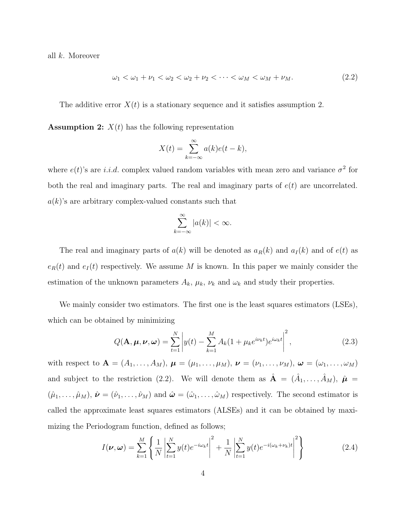all k. Moreover

$$
\omega_1 < \omega_1 + \nu_1 < \omega_2 < \omega_2 + \nu_2 < \cdots < \omega_M < \omega_M + \nu_M. \tag{2.2}
$$

The additive error  $X(t)$  is a stationary sequence and it satisfies assumption 2.

**Assumption 2:**  $X(t)$  has the following representation

$$
X(t) = \sum_{k=-\infty}^{\infty} a(k)e(t-k),
$$

where  $e(t)$ 's are *i.i.d.* complex valued random variables with mean zero and variance  $\sigma^2$  for both the real and imaginary parts. The real and imaginary parts of  $e(t)$  are uncorrelated.  $a(k)$ 's are arbitrary complex-valued constants such that

$$
\sum_{k=-\infty}^{\infty} |a(k)| < \infty.
$$

The real and imaginary parts of  $a(k)$  will be denoted as  $a_R(k)$  and  $a_I(k)$  and of  $e(t)$  as  $e_R(t)$  and  $e_I(t)$  respectively. We assume M is known. In this paper we mainly consider the estimation of the unknown parameters  $A_k$ ,  $\mu_k$ ,  $\nu_k$  and  $\omega_k$  and study their properties.

We mainly consider two estimators. The first one is the least squares estimators (LSEs), which can be obtained by minimizing

$$
Q(\mathbf{A}, \boldsymbol{\mu}, \boldsymbol{\nu}, \boldsymbol{\omega}) = \sum_{t=1}^{N} \left| y(t) - \sum_{k=1}^{M} A_k (1 + \mu_k e^{i \nu_k t}) e^{i \omega_k t} \right|^2, \qquad (2.3)
$$

with respect to  $\mathbf{A} = (A_1, \ldots, A_M)$ ,  $\boldsymbol{\mu} = (\mu_1, \ldots, \mu_M)$ ,  $\boldsymbol{\nu} = (\nu_1, \ldots, \nu_M)$ ,  $\boldsymbol{\omega} = (\omega_1, \ldots, \omega_M)$ and subject to the restriction (2.2). We will denote them as  $\hat{\mathbf{A}} = (\hat{A}_1, \dots, \hat{A}_M)$ ,  $\hat{\boldsymbol{\mu}} =$  $(\hat{\mu}_1, \ldots, \hat{\mu}_M), \hat{\boldsymbol{\nu}} = (\hat{\nu}_1, \ldots, \hat{\nu}_M)$  and  $\hat{\boldsymbol{\omega}} = (\hat{\omega}_1, \ldots, \hat{\omega}_M)$  respectively. The second estimator is called the approximate least squares estimators (ALSEs) and it can be obtained by maximizing the Periodogram function, defined as follows;

$$
I(\nu,\omega) = \sum_{k=1}^{M} \left\{ \frac{1}{N} \left| \sum_{t=1}^{N} y(t) e^{-i\omega_k t} \right|^2 + \frac{1}{N} \left| \sum_{t=1}^{N} y(t) e^{-i(\omega_k + \nu_k)t} \right|^2 \right\}
$$
(2.4)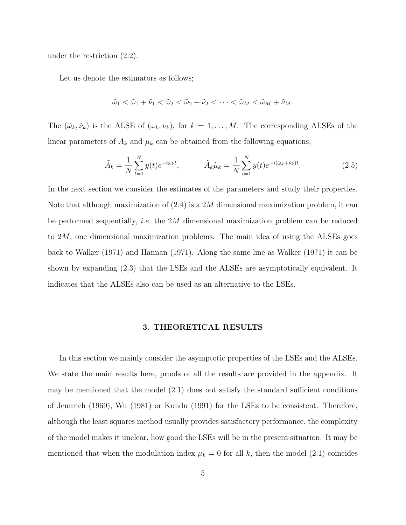under the restriction (2.2).

Let us denote the estimators as follows;

$$
\tilde{\omega}_1 < \tilde{\omega}_1 + \tilde{\nu}_1 < \tilde{\omega}_2 < \tilde{\omega}_2 + \tilde{\nu}_2 < \cdots < \tilde{\omega}_M < \tilde{\omega}_M + \tilde{\nu}_M.
$$

The  $(\tilde{\omega}_k, \tilde{\nu}_k)$  is the ALSE of  $(\omega_k, \nu_k)$ , for  $k = 1, ..., M$ . The corresponding ALSEs of the linear parameters of  $A_k$  and  $\mu_k$  can be obtained from the following equations;

$$
\tilde{A}_k = \frac{1}{N} \sum_{t=1}^N y(t) e^{-i\tilde{\omega}_k t}, \qquad \tilde{A}_k \tilde{\mu}_k = \frac{1}{N} \sum_{t=1}^N y(t) e^{-i(\tilde{\omega}_k + \tilde{\nu}_k)t}.
$$
\n(2.5)

In the next section we consider the estimates of the parameters and study their properties. Note that although maximization of  $(2.4)$  is a 2M dimensional maximization problem, it can be performed sequentially, i.e. the 2M dimensional maximization problem can be reduced to 2M, one dimensional maximization problems. The main idea of using the ALSEs goes back to Walker (1971) and Hannan (1971). Along the same line as Walker (1971) it can be shown by expanding (2.3) that the LSEs and the ALSEs are asymptotically equivalent. It indicates that the ALSEs also can be used as an alternative to the LSEs.

#### 3. THEORETICAL RESULTS

In this section we mainly consider the asymptotic properties of the LSEs and the ALSEs. We state the main results here, proofs of all the results are provided in the appendix. It may be mentioned that the model (2.1) does not satisfy the standard sufficient conditions of Jennrich (1969), Wu (1981) or Kundu (1991) for the LSEs to be consistent. Therefore, although the least squares method usually provides satisfactory performance, the complexity of the model makes it unclear, how good the LSEs will be in the present situation. It may be mentioned that when the modulation index  $\mu_k = 0$  for all k, then the model (2.1) coincides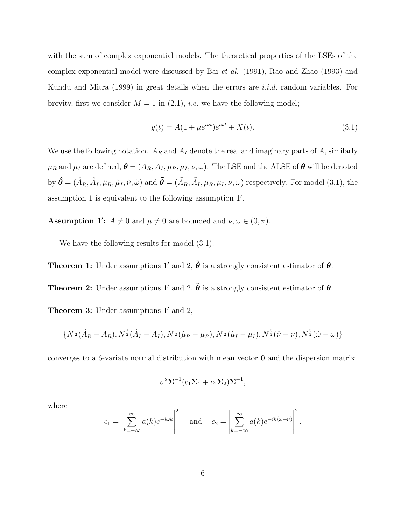with the sum of complex exponential models. The theoretical properties of the LSEs of the complex exponential model were discussed by Bai et al. (1991), Rao and Zhao (1993) and Kundu and Mitra (1999) in great details when the errors are *i.i.d.* random variables. For brevity, first we consider  $M = 1$  in (2.1), *i.e.* we have the following model;

$$
y(t) = A(1 + \mu e^{i\nu t})e^{i\omega t} + X(t).
$$
\n(3.1)

We use the following notation.  $A_R$  and  $A_I$  denote the real and imaginary parts of A, similarly  $\mu_R$  and  $\mu_I$  are defined,  $\boldsymbol{\theta} = (A_R, A_I, \mu_R, \mu_I, \nu, \omega)$ . The LSE and the ALSE of  $\boldsymbol{\theta}$  will be denoted by  $\hat{\boldsymbol{\theta}} = (\hat{A}_R, \hat{A}_I, \hat{\mu}_R, \hat{\mu}_I, \hat{\nu}, \hat{\omega})$  and  $\tilde{\boldsymbol{\theta}} = (\tilde{A}_R, \tilde{A}_I, \tilde{\mu}_R, \tilde{\mu}_I, \tilde{\nu}, \tilde{\omega})$  respectively. For model (3.1), the assumption 1 is equivalent to the following assumption 1'.

**Assumption 1':**  $A \neq 0$  and  $\mu \neq 0$  are bounded and  $\nu, \omega \in (0, \pi)$ .

We have the following results for model  $(3.1)$ .

**Theorem 1:** Under assumptions 1' and 2,  $\hat{\boldsymbol{\theta}}$  is a strongly consistent estimator of  $\boldsymbol{\theta}$ .

**Theorem 2:** Under assumptions 1' and 2,  $\tilde{\theta}$  is a strongly consistent estimator of  $\theta$ .

**Theorem 3:** Under assumptions  $1'$  and  $2$ ,

$$
\{N^{\frac{1}{2}}(\hat{A}_R - A_R), N^{\frac{1}{2}}(\hat{A}_I - A_I), N^{\frac{1}{2}}(\hat{\mu}_R - \mu_R), N^{\frac{1}{2}}(\hat{\mu}_I - \mu_I), N^{\frac{3}{2}}(\hat{\nu} - \nu), N^{\frac{3}{2}}(\hat{\omega} - \omega)\}
$$

converges to a 6-variate normal distribution with mean vector 0 and the dispersion matrix

$$
\sigma^2 \Sigma^{-1} (c_1 \Sigma_1 + c_2 \Sigma_2) \Sigma^{-1},
$$

where

$$
c_1 = \left| \sum_{k=-\infty}^{\infty} a(k) e^{-i\omega k} \right|^2 \quad \text{and} \quad c_2 = \left| \sum_{k=-\infty}^{\infty} a(k) e^{-ik(\omega + \nu)} \right|^2.
$$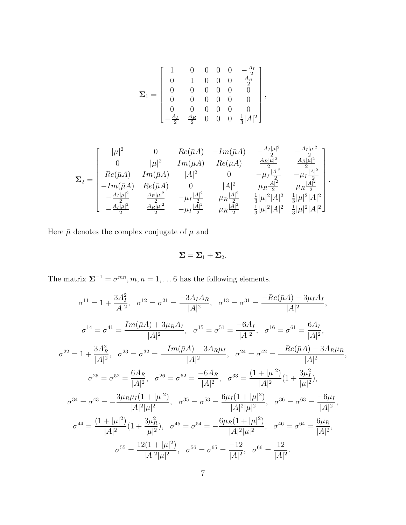$$
\pmb{\Sigma}_1 = \left[\begin{array}{ccccc} 1 & 0 & 0 & 0 & 0 & -\frac{A_I}{2} \\ 0 & 1 & 0 & 0 & 0 & \frac{A_R}{2} \\ 0 & 0 & 0 & 0 & 0 & 0 \\ 0 & 0 & 0 & 0 & 0 & 0 \\ 0 & 0 & 0 & 0 & 0 & 0 \\ -\frac{A_I}{2} & \frac{A_R}{2} & 0 & 0 & 0 & \frac{1}{3}|A|^2 \end{array}\right],
$$

$$
\Sigma_2 = \begin{bmatrix} |\mu|^2 & 0 & Re(\bar{\mu}A) & -Im(\bar{\mu}A) & -\frac{A_I|\mu|^2}{2} & -\frac{A_I|\mu|^2}{2} \\ 0 & |\mu|^2 & Im(\bar{\mu}A) & Re(\bar{\mu}A) & \frac{A_R|\mu|^2}{2} & \frac{A_R|\mu|^2}{2} \\ Re(\bar{\mu}A) & Im(\bar{\mu}A) & |A|^2 & 0 & -\mu_I \frac{|A|^2}{2} & -\mu_I \frac{|A|^2}{2} \\ -Im(\bar{\mu}A) & Re(\bar{\mu}A) & 0 & |A|^2 & \mu_R \frac{|A|^2}{2} & \mu_R \frac{|A|^2}{2} \\ -\frac{A_I|\mu|^2}{2} & \frac{A_R|\mu|^2}{2} & -\mu_I \frac{|A|^2}{2} & \mu_R \frac{|A|^2}{2} & \frac{1}{3}|\mu|^2|A|^2 & \frac{1}{3}|\mu|^2|A|^2 \\ -\frac{A_I|\mu|^2}{2} & \frac{A_R|\mu|^2}{2} & -\mu_I \frac{|A|^2}{2} & \mu_R \frac{|A|^2}{2} & \frac{1}{3}|\mu|^2|A|^2 & \frac{1}{3}|\mu|^2|A|^2 \end{bmatrix}.
$$

Here  $\bar{\mu}$  denotes the complex conjugate of  $\mu$  and

$$
\Sigma=\Sigma_1+\Sigma_2.
$$

The matrix  $\Sigma^{-1} = \sigma^{mn}, m, n = 1, \ldots 6$  has the following elements.

$$
\sigma^{11} = 1 + \frac{3A_I^2}{|A|^2}, \quad \sigma^{12} = \sigma^{21} = \frac{-3A_I A_R}{|A|^2}, \quad \sigma^{13} = \sigma^{31} = \frac{-Re(\bar{\mu}A) - 3\mu_I A_I}{|A|^2},
$$

$$
\sigma^{14} = \sigma^{41} = \frac{Im(\bar{\mu}A) + 3\mu_R A_I}{|A|^2}, \quad \sigma^{15} = \sigma^{51} = \frac{-6A_I}{|A|^2}, \quad \sigma^{16} = \sigma^{61} = \frac{6A_I}{|A|^2},
$$

$$
\sigma^{22} = 1 + \frac{3A_R^2}{|A|^2}, \quad \sigma^{23} = \sigma^{32} = \frac{-Im(\bar{\mu}A) + 3A_R\mu_I}{|A|^2}, \quad \sigma^{24} = \sigma^{42} = \frac{-Re(\bar{\mu}A) - 3A_R\mu_R}{|A|^2},
$$

$$
\sigma^{25} = \sigma^{52} = \frac{6A_R}{|A|^2}, \quad \sigma^{26} = \sigma^{62} = \frac{-6A_R}{|A|^2}, \quad \sigma^{33} = \frac{(1 + |\mu|^2)}{|A|^2} (1 + \frac{3\mu_I^2}{|\mu|^2}),
$$

$$
\sigma^{34} = \sigma^{43} = -\frac{3\mu_R\mu_I(1 + |\mu|^2)}{|A|^2|\mu|^2}, \quad \sigma^{35} = \sigma^{53} = \frac{6\mu_I(1 + |\mu|^2)}{|A|^2|\mu|^2}, \quad \sigma^{36} = \sigma^{63} = \frac{-6\mu_I}{|A|^2},
$$

$$
\sigma^{44} = \frac{(1 + |\mu|^2)}{|A|^2} (1 + \frac{3\mu_R^2}{|\mu|^2}), \quad \sigma^{45} = \sigma^{54} = -\frac{6\mu_R(1 + |\mu|^2)}{|A|^2|\mu|^2}, \quad \sigma^{46} = \sigma^{64} = \frac{6\mu_R}{|A|^2},
$$

$$
\sigma^{55} = \frac{12(1 + |\mu|^2)}{|A|^2|\mu|^2}, \quad \sigma^{56} = \sigma^{65} = \frac{-12}{|A|^2}, \quad \sigma^{66} = \frac{12}{|A|^2}.
$$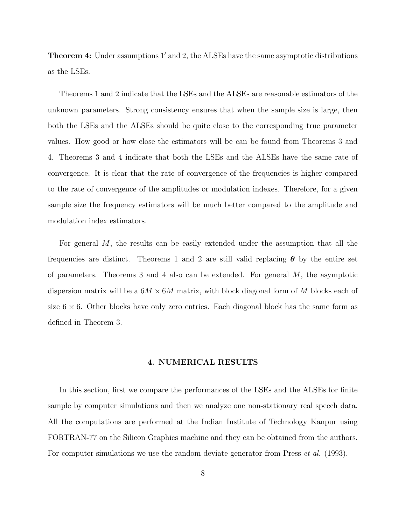Theorem 4: Under assumptions 1' and 2, the ALSEs have the same asymptotic distributions as the LSEs.

Theorems 1 and 2 indicate that the LSEs and the ALSEs are reasonable estimators of the unknown parameters. Strong consistency ensures that when the sample size is large, then both the LSEs and the ALSEs should be quite close to the corresponding true parameter values. How good or how close the estimators will be can be found from Theorems 3 and 4. Theorems 3 and 4 indicate that both the LSEs and the ALSEs have the same rate of convergence. It is clear that the rate of convergence of the frequencies is higher compared to the rate of convergence of the amplitudes or modulation indexes. Therefore, for a given sample size the frequency estimators will be much better compared to the amplitude and modulation index estimators.

For general M, the results can be easily extended under the assumption that all the frequencies are distinct. Theorems 1 and 2 are still valid replacing  $\theta$  by the entire set of parameters. Theorems 3 and 4 also can be extended. For general  $M$ , the asymptotic dispersion matrix will be a  $6M \times 6M$  matrix, with block diagonal form of M blocks each of size  $6 \times 6$ . Other blocks have only zero entries. Each diagonal block has the same form as defined in Theorem 3.

## 4. NUMERICAL RESULTS

In this section, first we compare the performances of the LSEs and the ALSEs for finite sample by computer simulations and then we analyze one non-stationary real speech data. All the computations are performed at the Indian Institute of Technology Kanpur using FORTRAN-77 on the Silicon Graphics machine and they can be obtained from the authors. For computer simulations we use the random deviate generator from Press *et al.* (1993).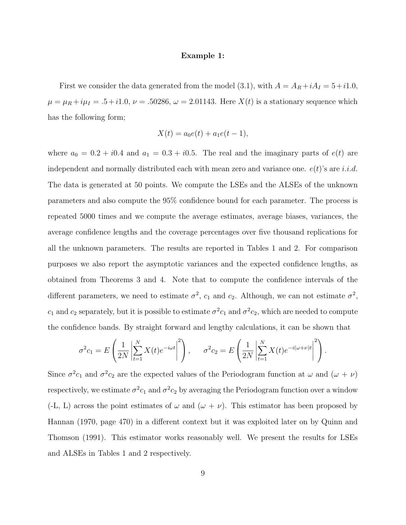#### Example 1:

First we consider the data generated from the model (3.1), with  $A = A_R + iA_I = 5 + i1.0$ ,  $\mu = \mu_R + i\mu_I = .5 + i1.0, \nu = .50286, \omega = 2.01143.$  Here  $X(t)$  is a stationary sequence which has the following form;

$$
X(t) = a_0 e(t) + a_1 e(t - 1),
$$

where  $a_0 = 0.2 + i0.4$  and  $a_1 = 0.3 + i0.5$ . The real and the imaginary parts of  $e(t)$  are independent and normally distributed each with mean zero and variance one.  $e(t)$ 's are i.i.d. The data is generated at 50 points. We compute the LSEs and the ALSEs of the unknown parameters and also compute the 95% confidence bound for each parameter. The process is repeated 5000 times and we compute the average estimates, average biases, variances, the average confidence lengths and the coverage percentages over five thousand replications for all the unknown parameters. The results are reported in Tables 1 and 2. For comparison purposes we also report the asymptotic variances and the expected confidence lengths, as obtained from Theorems 3 and 4. Note that to compute the confidence intervals of the different parameters, we need to estimate  $\sigma^2$ ,  $c_1$  and  $c_2$ . Although, we can not estimate  $\sigma^2$ ,  $c_1$  and  $c_2$  separately, but it is possible to estimate  $\sigma^2 c_1$  and  $\sigma^2 c_2$ , which are needed to compute the confidence bands. By straight forward and lengthy calculations, it can be shown that

$$
\sigma^2 c_1 = E\left(\frac{1}{2N} \left| \sum_{t=1}^N X(t) e^{-i\omega t} \right|^2 \right), \quad \sigma^2 c_2 = E\left(\frac{1}{2N} \left| \sum_{t=1}^N X(t) e^{-i(\omega + \nu)t} \right|^2 \right).
$$

Since  $\sigma^2 c_1$  and  $\sigma^2 c_2$  are the expected values of the Periodogram function at  $\omega$  and  $(\omega + \nu)$ respectively, we estimate  $\sigma^2 c_1$  and  $\sigma^2 c_2$  by averaging the Periodogram function over a window  $(-L, L)$  across the point estimates of  $\omega$  and  $(\omega + \nu)$ . This estimator has been proposed by Hannan (1970, page 470) in a different context but it was exploited later on by Quinn and Thomson (1991). This estimator works reasonably well. We present the results for LSEs and ALSEs in Tables 1 and 2 respectively.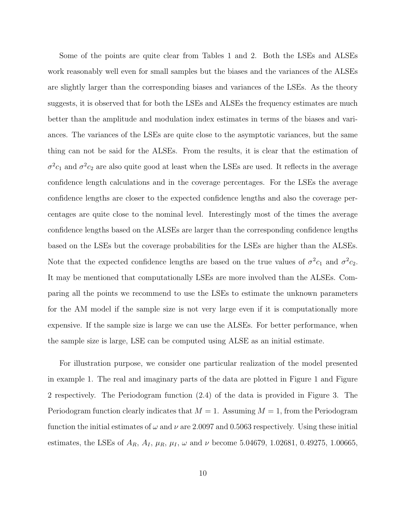Some of the points are quite clear from Tables 1 and 2. Both the LSEs and ALSEs work reasonably well even for small samples but the biases and the variances of the ALSEs are slightly larger than the corresponding biases and variances of the LSEs. As the theory suggests, it is observed that for both the LSEs and ALSEs the frequency estimates are much better than the amplitude and modulation index estimates in terms of the biases and variances. The variances of the LSEs are quite close to the asymptotic variances, but the same thing can not be said for the ALSEs. From the results, it is clear that the estimation of  $\sigma^2 c_1$  and  $\sigma^2 c_2$  are also quite good at least when the LSEs are used. It reflects in the average confidence length calculations and in the coverage percentages. For the LSEs the average confidence lengths are closer to the expected confidence lengths and also the coverage percentages are quite close to the nominal level. Interestingly most of the times the average confidence lengths based on the ALSEs are larger than the corresponding confidence lengths based on the LSEs but the coverage probabilities for the LSEs are higher than the ALSEs. Note that the expected confidence lengths are based on the true values of  $\sigma^2 c_1$  and  $\sigma^2 c_2$ . It may be mentioned that computationally LSEs are more involved than the ALSEs. Comparing all the points we recommend to use the LSEs to estimate the unknown parameters for the AM model if the sample size is not very large even if it is computationally more expensive. If the sample size is large we can use the ALSEs. For better performance, when the sample size is large, LSE can be computed using ALSE as an initial estimate.

For illustration purpose, we consider one particular realization of the model presented in example 1. The real and imaginary parts of the data are plotted in Figure 1 and Figure 2 respectively. The Periodogram function (2.4) of the data is provided in Figure 3. The Periodogram function clearly indicates that  $M = 1$ . Assuming  $M = 1$ , from the Periodogram function the initial estimates of  $\omega$  and  $\nu$  are 2.0097 and 0.5063 respectively. Using these initial estimates, the LSEs of  $A_R$ ,  $A_I$ ,  $\mu_R$ ,  $\mu_I$ ,  $\omega$  and  $\nu$  become 5.04679, 1.02681, 0.49275, 1.00665,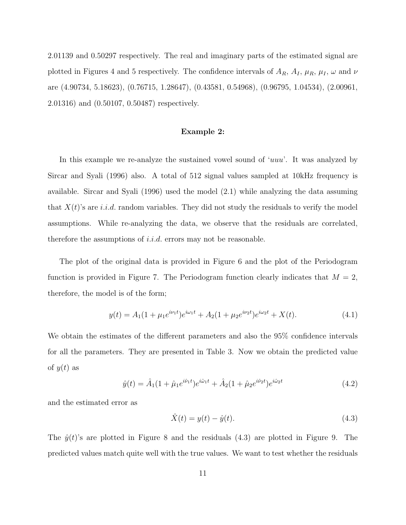2.01139 and 0.50297 respectively. The real and imaginary parts of the estimated signal are plotted in Figures 4 and 5 respectively. The confidence intervals of  $A_R$ ,  $A_I$ ,  $\mu_R$ ,  $\mu_I$ ,  $\omega$  and  $\nu$ are (4.90734, 5.18623), (0.76715, 1.28647), (0.43581, 0.54968), (0.96795, 1.04534), (2.00961, 2.01316) and (0.50107, 0.50487) respectively.

#### Example 2:

In this example we re-analyze the sustained vowel sound of 'uuu'. It was analyzed by Sircar and Syali (1996) also. A total of 512 signal values sampled at 10kHz frequency is available. Sircar and Syali (1996) used the model (2.1) while analyzing the data assuming that  $X(t)$ 's are *i.i.d.* random variables. They did not study the residuals to verify the model assumptions. While re-analyzing the data, we observe that the residuals are correlated, therefore the assumptions of *i.i.d.* errors may not be reasonable.

The plot of the original data is provided in Figure 6 and the plot of the Periodogram function is provided in Figure 7. The Periodogram function clearly indicates that  $M = 2$ , therefore, the model is of the form;

$$
y(t) = A_1(1 + \mu_1 e^{i\nu_1 t})e^{i\omega_1 t} + A_2(1 + \mu_2 e^{i\nu_2 t})e^{i\omega_2 t} + X(t).
$$
\n(4.1)

We obtain the estimates of the different parameters and also the 95% confidence intervals for all the parameters. They are presented in Table 3. Now we obtain the predicted value of  $y(t)$  as

$$
\hat{y}(t) = \hat{A}_1(1 + \hat{\mu}_1 e^{i\hat{\nu}_1 t})e^{i\hat{\omega}_1 t} + \hat{A}_2(1 + \hat{\mu}_2 e^{i\hat{\nu}_2 t})e^{i\hat{\omega}_2 t}
$$
\n(4.2)

and the estimated error as

$$
\hat{X}(t) = y(t) - \hat{y}(t).
$$
\n(4.3)

The  $\hat{y}(t)$ 's are plotted in Figure 8 and the residuals (4.3) are plotted in Figure 9. The predicted values match quite well with the true values. We want to test whether the residuals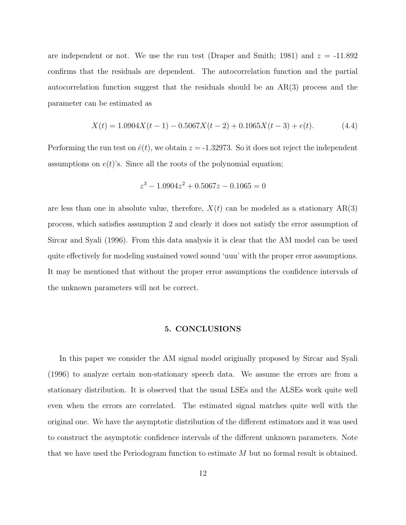are independent or not. We use the run test (Draper and Smith; 1981) and  $z = -11.892$ confirms that the residuals are dependent. The autocorrelation function and the partial autocorrelation function suggest that the residuals should be an AR(3) process and the parameter can be estimated as

$$
X(t) = 1.0904X(t-1) - 0.5067X(t-2) + 0.1065X(t-3) + e(t). \tag{4.4}
$$

Performing the run test on  $\hat{e}(t)$ , we obtain  $z = -1.32973$ . So it does not reject the independent assumptions on  $e(t)$ 's. Since all the roots of the polynomial equation;

$$
z^3 - 1.0904z^2 + 0.5067z - 0.1065 = 0
$$

are less than one in absolute value, therefore,  $X(t)$  can be modeled as a stationary  $AR(3)$ process, which satisfies assumption 2 and clearly it does not satisfy the error assumption of Sircar and Syali (1996). From this data analysis it is clear that the AM model can be used quite effectively for modeling sustained vowel sound 'uuu' with the proper error assumptions. It may be mentioned that without the proper error assumptions the confidence intervals of the unknown parameters will not be correct.

## 5. CONCLUSIONS

In this paper we consider the AM signal model originally proposed by Sircar and Syali (1996) to analyze certain non-stationary speech data. We assume the errors are from a stationary distribution. It is observed that the usual LSEs and the ALSEs work quite well even when the errors are correlated. The estimated signal matches quite well with the original one. We have the asymptotic distribution of the different estimators and it was used to construct the asymptotic confidence intervals of the different unknown parameters. Note that we have used the Periodogram function to estimate M but no formal result is obtained.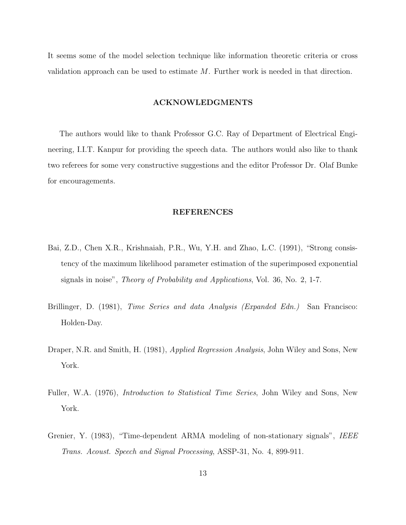It seems some of the model selection technique like information theoretic criteria or cross validation approach can be used to estimate  $M$ . Further work is needed in that direction.

## ACKNOWLEDGMENTS

The authors would like to thank Professor G.C. Ray of Department of Electrical Engineering, I.I.T. Kanpur for providing the speech data. The authors would also like to thank two referees for some very constructive suggestions and the editor Professor Dr. Olaf Bunke for encouragements.

## REFERENCES

- Bai, Z.D., Chen X.R., Krishnaiah, P.R., Wu, Y.H. and Zhao, L.C. (1991), "Strong consistency of the maximum likelihood parameter estimation of the superimposed exponential signals in noise", Theory of Probability and Applications, Vol. 36, No. 2, 1-7.
- Brillinger, D. (1981), Time Series and data Analysis (Expanded Edn.) San Francisco: Holden-Day.
- Draper, N.R. and Smith, H. (1981), *Applied Regression Analysis*, John Wiley and Sons, New York.
- Fuller, W.A. (1976), Introduction to Statistical Time Series, John Wiley and Sons, New York.
- Grenier, Y. (1983), "Time-dependent ARMA modeling of non-stationary signals", IEEE Trans. Acoust. Speech and Signal Processing, ASSP-31, No. 4, 899-911.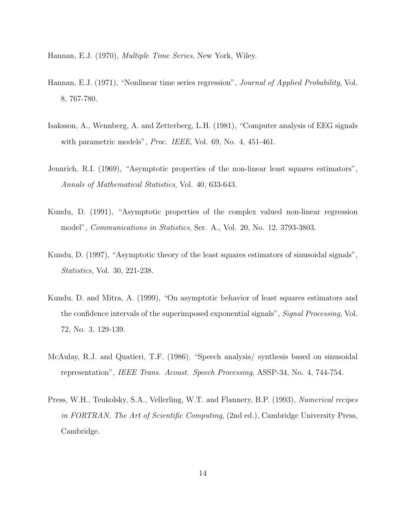Hannan, E.J. (1970), Multiple Time Series, New York, Wiley.

- Hannan, E.J. (1971), "Nonlinear time series regression", *Journal of Applied Probability*, Vol. 8, 767-780.
- Isaksson, A., Wennberg, A. and Zetterberg, L.H. (1981), "Computer analysis of EEG signals with parametric models", Proc. IEEE, Vol. 69, No. 4, 451-461.
- Jennrich, R.I. (1969), "Asymptotic properties of the non-linear least squares estimators", Annals of Mathematical Statistics, Vol. 40, 633-643.
- Kundu, D. (1991), "Asymptotic properties of the complex valued non-linear regression model", Communications in Statistics, Ser. A., Vol. 20, No. 12, 3793-3803.
- Kundu, D. (1997), "Asymptotic theory of the least squares estimators of sinusoidal signals", Statistics, Vol. 30, 221-238.
- Kundu, D. and Mitra, A. (1999), "On asymptotic behavior of least squares estimators and the confidence intervals of the superimposed exponential signals", Signal Processing, Vol. 72, No. 3, 129-139.
- McAulay, R.J. and Quatieri, T.F. (1986), "Speech analysis/ synthesis based on sinusoidal representation", IEEE Trans. Acoust. Speech Processing, ASSP-34, No. 4, 744-754.
- Press, W.H., Teukolsky, S.A., Vellerling, W.T. and Flannery, B.P. (1993), Numerical recipes in FORTRAN, The Art of Scientific Computing, (2nd ed.), Cambridge University Press, Cambridge.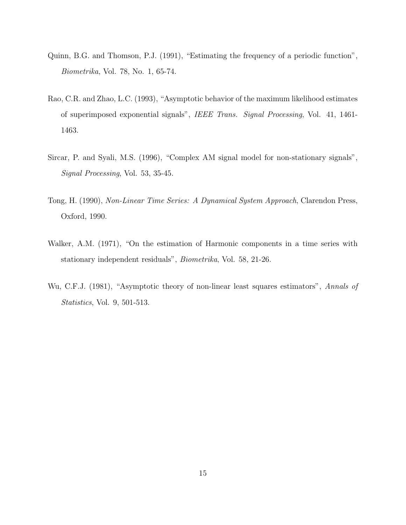- Quinn, B.G. and Thomson, P.J. (1991), "Estimating the frequency of a periodic function", Biometrika, Vol. 78, No. 1, 65-74.
- Rao, C.R. and Zhao, L.C. (1993), "Asymptotic behavior of the maximum likelihood estimates of superimposed exponential signals", IEEE Trans. Signal Processing, Vol. 41, 1461- 1463.
- Sircar, P. and Syali, M.S. (1996), "Complex AM signal model for non-stationary signals", Signal Processing, Vol. 53, 35-45.
- Tong, H. (1990), Non-Linear Time Series: A Dynamical System Approach, Clarendon Press, Oxford, 1990.
- Walker, A.M. (1971), "On the estimation of Harmonic components in a time series with stationary independent residuals", Biometrika, Vol. 58, 21-26.
- Wu, C.F.J. (1981), "Asymptotic theory of non-linear least squares estimators", Annals of Statistics, Vol. 9, 501-513.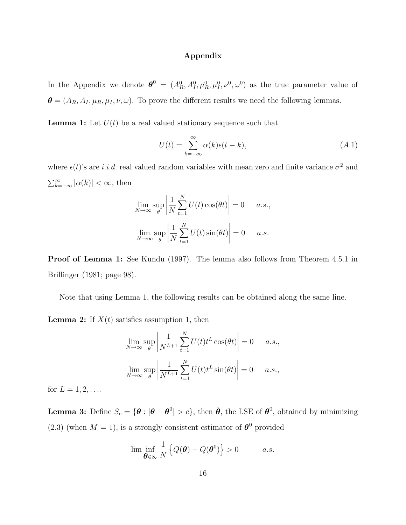# Appendix

In the Appendix we denote  $\boldsymbol{\theta}^0 = (A_R^0, A_I^0, \mu_R^0, \mu_I^0, \nu^0, \omega^0)$  as the true parameter value of  $\boldsymbol{\theta} = (A_R, A_I, \mu_R, \mu_I, \nu, \omega)$ . To prove the different results we need the following lemmas.

**Lemma 1:** Let  $U(t)$  be a real valued stationary sequence such that

$$
U(t) = \sum_{k=-\infty}^{\infty} \alpha(k)\epsilon(t-k),
$$
\n(A.1)

where  $\epsilon(t)$ 's are i.i.d. real valued random variables with mean zero and finite variance  $\sigma^2$  and  $\sum_{k=-\infty}^{\infty} |\alpha(k)| < \infty$ , then

$$
\lim_{N \to \infty} \sup_{\theta} \left| \frac{1}{N} \sum_{t=1}^{N} U(t) \cos(\theta t) \right| = 0 \quad a.s.,
$$
  

$$
\lim_{N \to \infty} \sup_{\theta} \left| \frac{1}{N} \sum_{t=1}^{N} U(t) \sin(\theta t) \right| = 0 \quad a.s.
$$

Proof of Lemma 1: See Kundu (1997). The lemma also follows from Theorem 4.5.1 in Brillinger (1981; page 98).

Note that using Lemma 1, the following results can be obtained along the same line.

**Lemma 2:** If  $X(t)$  satisfies assumption 1, then

$$
\lim_{N \to \infty} \sup_{\theta} \left| \frac{1}{N^{L+1}} \sum_{t=1}^{N} U(t) t^{L} \cos(\theta t) \right| = 0 \quad a.s.,
$$
  

$$
\lim_{N \to \infty} \sup_{\theta} \left| \frac{1}{N^{L+1}} \sum_{t=1}^{N} U(t) t^{L} \sin(\theta t) \right| = 0 \quad a.s.,
$$

for  $L = 1, 2, ...$ 

**Lemma 3:** Define  $S_c = \{\theta : |\theta - \theta^0| > c\}$ , then  $\hat{\theta}$ , the LSE of  $\theta^0$ , obtained by minimizing (2.3) (when  $M = 1$ ), is a strongly consistent estimator of  $\theta^0$  provided

$$
\underline{\lim}_{\theta \in S_c} \inf_{N} \left\{ Q(\theta) - Q(\theta^0) \right\} > 0 \qquad a.s.
$$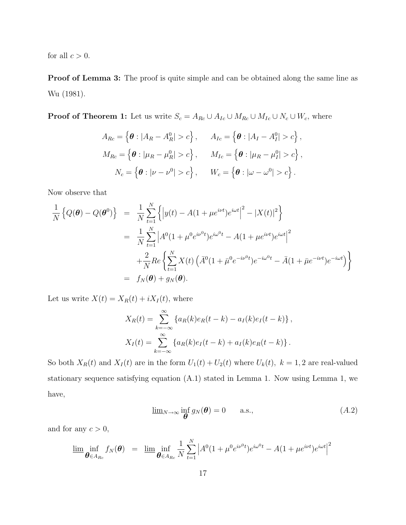for all  $c > 0$ .

Proof of Lemma 3: The proof is quite simple and can be obtained along the same line as Wu (1981).

**Proof of Theorem 1:** Let us write  $S_c = A_{Rc} \cup A_{Ic} \cup M_{Rc} \cup M_{Ic} \cup N_c \cup W_c$ , where

$$
A_{Rc} = \left\{ \boldsymbol{\theta} : |A_R - A_R^0| > c \right\}, \qquad A_{Ic} = \left\{ \boldsymbol{\theta} : |A_I - A_I^0| > c \right\},
$$
  
\n
$$
M_{Rc} = \left\{ \boldsymbol{\theta} : |\mu_R - \mu_R^0| > c \right\}, \qquad M_{Ic} = \left\{ \boldsymbol{\theta} : |\mu_R - \mu_I^0| > c \right\},
$$
  
\n
$$
N_c = \left\{ \boldsymbol{\theta} : |\nu - \nu^0| > c \right\}, \qquad W_c = \left\{ \boldsymbol{\theta} : |\omega - \omega^0| > c \right\}.
$$

Now observe that

$$
\frac{1}{N} \left\{ Q(\boldsymbol{\theta}) - Q(\boldsymbol{\theta}^{0}) \right\} = \frac{1}{N} \sum_{t=1}^{N} \left\{ \left| y(t) - A(1 + \mu e^{i\nu t}) e^{i\omega t} \right|^2 - |X(t)|^2 \right\}
$$
\n
$$
= \frac{1}{N} \sum_{t=1}^{N} \left| A^0(1 + \mu^0 e^{i\nu^0 t}) e^{i\omega^0 t} - A(1 + \mu e^{i\nu t}) e^{i\omega t} \right|^2
$$
\n
$$
+ \frac{2}{N} Re \left\{ \sum_{t=1}^{N} X(t) \left( \bar{A}^0(1 + \bar{\mu}^0 e^{-i\nu^0 t}) e^{-i\omega^0 t} - \bar{A}(1 + \bar{\mu} e^{-i\nu t}) e^{-i\omega t} \right) \right\}
$$
\n
$$
= f_N(\boldsymbol{\theta}) + g_N(\boldsymbol{\theta}).
$$

Let us write  $X(t) = X_R(t) + iX_I(t)$ , where

$$
X_R(t) = \sum_{k=-\infty}^{\infty} \{a_R(k)e_R(t-k) - a_I(k)e_I(t-k)\},
$$
  

$$
X_I(t) = \sum_{k=-\infty}^{\infty} \{a_R(k)e_I(t-k) + a_I(k)e_R(t-k)\}.
$$

So both  $X_R(t)$  and  $X_I(t)$  are in the form  $U_1(t) + U_2(t)$  where  $U_k(t)$ ,  $k = 1, 2$  are real-valued stationary sequence satisfying equation (A.1) stated in Lemma 1. Now using Lemma 1, we have,

$$
\underline{\lim}_{N \to \infty} \inf_{\theta} g_N(\theta) = 0 \quad \text{a.s.,} \tag{A.2}
$$

and for any  $c > 0$ ,

$$
\underline{\lim}_{\theta \in A_{Rc}} f_N(\theta) = \underline{\lim}_{\theta \in A_{Rc}} \frac{1}{N} \sum_{t=1}^N \left| A^0(1 + \mu^0 e^{i\nu^0 t}) e^{i\omega^0 t} - A(1 + \mu e^{i\nu t}) e^{i\omega t} \right|^2
$$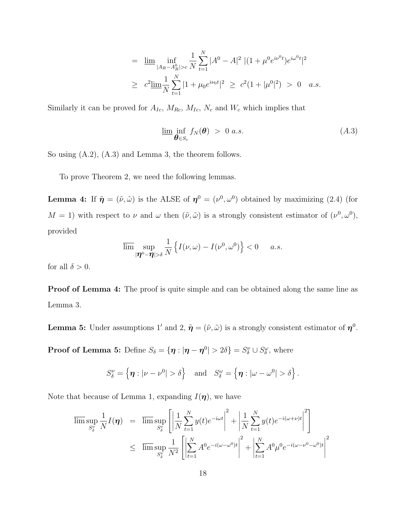$$
= \underline{\lim}_{|A_R - A_R^0| > c} \frac{1}{N} \sum_{t=1}^N |A^0 - A|^2 |(1 + \mu^0 e^{i\nu^0 t}) e^{i\omega^0 t}|^2
$$
  

$$
\geq c^2 \underline{\lim}_{N} \frac{1}{N} \sum_{t=1}^N |1 + \mu_0 e^{i\nu_0 t}|^2 \geq c^2 (1 + |\mu^0|^2) > 0 \quad a.s.
$$

Similarly it can be proved for  $A_{Ic}$ ,  $M_{Rc}$ ,  $M_{Ic}$ ,  $N_c$  and  $W_c$  which implies that

$$
\underline{\lim_{\theta \in S_c}} \inf_{\theta \in S_c} f_N(\theta) > 0 \ a.s. \tag{A.3}
$$

So using (A.2), (A.3) and Lemma 3, the theorem follows.

To prove Theorem 2, we need the following lemmas.

**Lemma 4:** If  $\tilde{\eta} = (\tilde{\nu}, \tilde{\omega})$  is the ALSE of  $\eta^0 = (\nu^0, \omega^0)$  obtained by maximizing (2.4) (for  $M = 1$ ) with respect to  $\nu$  and  $\omega$  then  $(\tilde{\nu}, \tilde{\omega})$  is a strongly consistent estimator of  $(\nu^0, \omega^0)$ , provided

$$
\overline{\lim} \sup_{|\boldsymbol{\eta}^0 - \boldsymbol{\eta}| > \delta} \frac{1}{N} \left\{ I(\nu, \omega) - I(\nu^0, \omega^0) \right\} < 0 \quad a.s.
$$

for all  $\delta > 0$ .

**Proof of Lemma 4:** The proof is quite simple and can be obtained along the same line as Lemma 3.

**Lemma 5:** Under assumptions 1' and 2,  $\tilde{\eta} = (\tilde{\nu}, \tilde{\omega})$  is a strongly consistent estimator of  $\eta^0$ .

**Proof of Lemma 5:** Define  $S_{\delta} = {\eta : |\eta - \eta^0| > 2\delta} = S_{\delta}^{\nu} \cup S_{\delta}^{\omega}$ , where

$$
S^{\nu}_{\delta} = \left\{ \boldsymbol{\eta} : |\nu - \nu^{0}| > \delta \right\} \text{ and } S^{\omega}_{\delta} = \left\{ \boldsymbol{\eta} : |\omega - \omega^{0}| > \delta \right\}.
$$

Note that because of Lemma 1, expanding  $I(\eta)$ , we have

$$
\overline{\limsup}_{S_{\delta}^{\nu}} \frac{1}{N} I(\boldsymbol{\eta}) = \overline{\limsup}_{S_{\delta}^{\nu}} \left[ \left| \frac{1}{N} \sum_{t=1}^{N} y(t) e^{-i\omega t} \right|^{2} + \left| \frac{1}{N} \sum_{t=1}^{N} y(t) e^{-i(\omega + \nu)t} \right|^{2} \right]
$$
\n
$$
\leq \overline{\limsup}_{S_{\delta}^{\nu}} \frac{1}{N^{2}} \left[ \left| \sum_{t=1}^{N} A^{0} e^{-i(\omega - \omega^{0})t} \right|^{2} + \left| \sum_{t=1}^{N} A^{0} \mu^{0} e^{-i(\omega - \nu^{0} - \omega^{0})t} \right|^{2} \right]
$$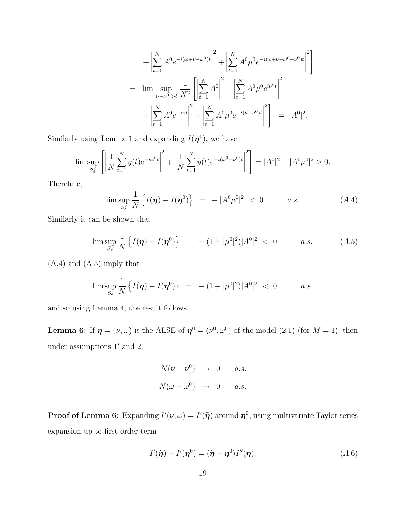$$
+ \left| \sum_{t=1}^{N} A^0 e^{-i(\omega + \nu - \omega^0)t} \right|^2 + \left| \sum_{t=1}^{N} A^0 \mu^0 e^{-i(\omega + \nu - \omega^0 - \nu^0)t} \right|^2
$$
  
= 
$$
\overline{\lim} \sup_{|\nu - \nu^0| > \delta} \frac{1}{N^2} \left[ \left| \sum_{t=1}^{N} A^0 \right|^2 + \left| \sum_{t=1}^{N} A^0 \mu^0 e^{i\nu^0 t} \right|^2 + \left| \sum_{t=1}^{N} A^0 \mu^0 e^{-i(\nu - \nu^0)t} \right|^2 \right] = |A^0|^2.
$$

Similarly using Lemma 1 and expanding  $I(\eta^0)$ , we have

$$
\overline{\lim_{S_{\delta}^{\nu}}}\left[\left|\frac{1}{N}\sum_{t=1}^{N}y(t)e^{-i\omega^{0}t}\right|^{2}+\left|\frac{1}{N}\sum_{t=1}^{N}y(t)e^{-i(\omega^{0}+\nu^{0})t}\right|^{2}\right]=|A^{0}|^{2}+|A^{0}\mu^{0}|^{2}>0.
$$

Therefore,

$$
\overline{\lim} \sup_{S_{\delta}^{\nu}} \frac{1}{N} \left\{ I(\boldsymbol{\eta}) - I(\boldsymbol{\eta}^{0}) \right\} = - |A^{0} \mu^{0}|^{2} < 0 \qquad a.s. \qquad (A.4)
$$

Similarly it can be shown that

$$
\overline{\lim} \sup_{S_{\delta}^{\omega}} \frac{1}{N} \left\{ I(\boldsymbol{\eta}) - I(\boldsymbol{\eta}^{0}) \right\} = - (1 + |\mu^{0}|^{2}) |A^{0}|^{2} < 0 \qquad a.s. \qquad (A.5)
$$

(A.4) and (A.5) imply that

$$
\overline{\lim}\sup_{S_{\delta}}\frac{1}{N}\left\{I(\boldsymbol{\eta})-I(\boldsymbol{\eta}^{0})\right\} = -(1+|\mu^{0}|^{2})|A^{0}|^{2} < 0 \qquad a.s.
$$

and so using Lemma 4, the result follows.

**Lemma 6:** If  $\tilde{\eta} = (\tilde{\nu}, \tilde{\omega})$  is the ALSE of  $\eta^0 = (\nu^0, \omega^0)$  of the model (2.1) (for  $M = 1$ ), then under assumptions  $1'$  and  $2$ ,

$$
N(\tilde{\nu} - \nu^{0}) \rightarrow 0 \quad a.s.
$$
  

$$
N(\tilde{\omega} - \omega^{0}) \rightarrow 0 \quad a.s.
$$

**Proof of Lemma 6:** Expanding  $I'(\tilde{\nu}, \tilde{\omega}) = I'(\tilde{\eta})$  around  $\eta^0$ , using multivariate Taylor series expansion up to first order term

$$
I'(\tilde{\boldsymbol{\eta}}) - I'(\boldsymbol{\eta}^0) = (\tilde{\boldsymbol{\eta}} - \boldsymbol{\eta}^0)I''(\bar{\boldsymbol{\eta}}), \qquad (A.6)
$$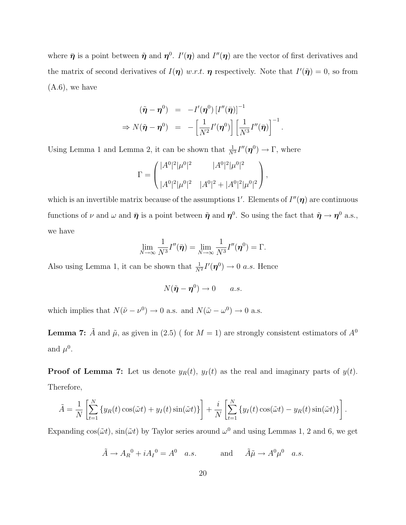where  $\bar{\pmb{\eta}}$  is a point between  $\tilde{\pmb{\eta}}$  and  $\pmb{\eta}^0$ .  $I'(\pmb{\eta})$  and  $I''(\pmb{\eta})$  are the vector of first derivatives and the matrix of second derivatives of  $I(\eta)$  w.r.t.  $\eta$  respectively. Note that  $I'(\tilde{\eta}) = 0$ , so from  $(A.6)$ , we have

$$
(\tilde{\boldsymbol{\eta}} - \boldsymbol{\eta}^0) = -I'(\boldsymbol{\eta}^0) [I''(\bar{\boldsymbol{\eta}})]^{-1}
$$
  
\n
$$
\Rightarrow N(\tilde{\boldsymbol{\eta}} - \boldsymbol{\eta}^0) = -\left[\frac{1}{N^2}I'(\boldsymbol{\eta}^0)\right] \left[\frac{1}{N^3}I''(\bar{\boldsymbol{\eta}})\right]^{-1}.
$$

Using Lemma 1 and Lemma 2, it can be shown that  $\frac{1}{N^3}I''(\eta^0) \to \Gamma$ , where

$$
\Gamma = \begin{pmatrix} |A^0|^2 |\mu^0|^2 & |A^0|^2 |\mu^0|^2 \\ |A^0|^2 |\mu^0|^2 & |A^0|^2 + |A^0|^2 |\mu^0|^2 \end{pmatrix},
$$

which is an invertible matrix because of the assumptions 1'. Elements of  $I''(\eta)$  are continuous functions of  $\nu$  and  $\omega$  and  $\bar{\eta}$  is a point between  $\tilde{\eta}$  and  $\eta^0$ . So using the fact that  $\tilde{\eta} \to \eta^0$  a.s., we have

$$
\lim_{N\to\infty}\frac{1}{N^3}I''(\bar{\boldsymbol{\eta}})=\lim_{N\to\infty}\frac{1}{N^3}I''(\boldsymbol{\eta}^0)=\Gamma.
$$

Also using Lemma 1, it can be shown that  $\frac{1}{N^2}I'(\eta^0) \to 0$  a.s. Hence

$$
N(\tilde{\pmb{\eta}} - \pmb{\eta}^0) \to 0 \qquad a.s.
$$

which implies that  $N(\tilde{\nu} - \nu^0) \rightarrow 0$  a.s. and  $N(\tilde{\omega} - \omega^0) \rightarrow 0$  a.s.

**Lemma 7:**  $\tilde{A}$  and  $\tilde{\mu}$ , as given in (2.5) ( for  $M = 1$ ) are strongly consistent estimators of  $A^0$ and  $\mu^0$ .

**Proof of Lemma 7:** Let us denote  $y_R(t)$ ,  $y_I(t)$  as the real and imaginary parts of  $y(t)$ . Therefore,

$$
\tilde{A} = \frac{1}{N} \left[ \sum_{t=1}^{N} \left\{ y_R(t) \cos(\tilde{\omega}t) + y_I(t) \sin(\tilde{\omega}t) \right\} \right] + \frac{i}{N} \left[ \sum_{t=1}^{N} \left\{ y_I(t) \cos(\tilde{\omega}t) - y_R(t) \sin(\tilde{\omega}t) \right\} \right].
$$

Expanding  $cos(\tilde{\omega}t)$ ,  $sin(\tilde{\omega}t)$  by Taylor series around  $\omega^0$  and using Lemmas 1, 2 and 6, we get

$$
\tilde{A} \to A_R{}^0 + iA_I{}^0 = A^0
$$
 a.s. and  $\tilde{A}\tilde{\mu} \to A^0 \mu^0$  a.s.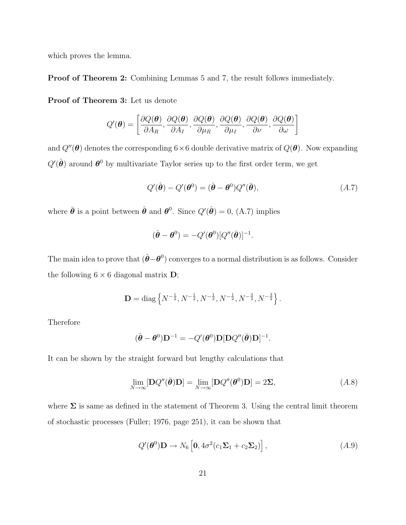which proves the lemma.

Proof of Theorem 2: Combining Lemmas 5 and 7, the result follows immediately.

Proof of Theorem 3: Let us denote

$$
Q'(\boldsymbol{\theta}) = \left[ \frac{\partial Q(\boldsymbol{\theta})}{\partial A_R}, \frac{\partial Q(\boldsymbol{\theta})}{\partial A_I}, \frac{\partial Q(\boldsymbol{\theta})}{\partial \mu_R}, \frac{\partial Q(\boldsymbol{\theta})}{\partial \mu_I}, \frac{\partial Q(\boldsymbol{\theta})}{\partial \nu}, \frac{\partial Q(\boldsymbol{\theta})}{\partial \omega} \right]
$$

and  $Q''(\theta)$  denotes the corresponding  $6\times 6$  double derivative matrix of  $Q(\theta)$ . Now expanding  $Q'(\hat{\theta})$  around  $\theta^0$  by multivariate Taylor series up to the first order term, we get

$$
Q'(\hat{\boldsymbol{\theta}}) - Q'(\boldsymbol{\theta}^0) = (\hat{\boldsymbol{\theta}} - \boldsymbol{\theta}^0) Q''(\bar{\boldsymbol{\theta}}), \tag{A.7}
$$

.

where  $\bar{\theta}$  is a point between  $\hat{\theta}$  and  $\theta^0$ . Since  $Q'(\hat{\theta}) = 0$ , (A.7) implies

$$
(\hat{\boldsymbol{\theta}} - \boldsymbol{\theta}^0) = -Q'(\boldsymbol{\theta}^0)[Q''(\bar{\boldsymbol{\theta}})]^{-1}
$$

The main idea to prove that  $(\hat{\boldsymbol{\theta}} - \boldsymbol{\theta}^0)$  converges to a normal distribution is as follows. Consider the following  $6 \times 6$  diagonal matrix **D**;

$$
\mathbf{D} = \text{diag}\left\{N^{-\frac{1}{2}}, N^{-\frac{1}{2}}, N^{-\frac{1}{2}}, N^{-\frac{1}{2}}, N^{-\frac{3}{2}}, N^{-\frac{3}{2}}\right\}.
$$

Therefore

$$
(\hat{\boldsymbol{\theta}} - \boldsymbol{\theta}^0)\mathbf{D}^{-1} = -Q'(\boldsymbol{\theta}^0)\mathbf{D}[\mathbf{D}Q''(\bar{\boldsymbol{\theta}})\mathbf{D}]^{-1}.
$$

It can be shown by the straight forward but lengthy calculations that

$$
\lim_{N \to \infty} [\mathbf{D}Q''(\bar{\boldsymbol{\theta}})\mathbf{D}] = \lim_{N \to \infty} [\mathbf{D}Q''(\boldsymbol{\theta}^0)\mathbf{D}] = 2\Sigma,
$$
\n(A.8)

where  $\Sigma$  is same as defined in the statement of Theorem 3. Using the central limit theorem of stochastic processes (Fuller; 1976, page 251), it can be shown that

$$
Q'(\boldsymbol{\theta}^0)\mathbf{D} \to N_6 \left[ \mathbf{0}, 4\sigma^2 (c_1 \mathbf{\Sigma}_1 + c_2 \mathbf{\Sigma}_2) \right], \tag{A.9}
$$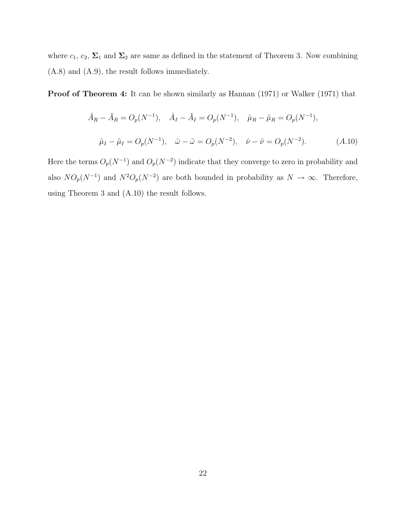where  $c_1, c_2, \Sigma_1$  and  $\Sigma_2$  are same as defined in the statement of Theorem 3. Now combining (A.8) and (A.9), the result follows immediately.

Proof of Theorem 4: It can be shown similarly as Hannan (1971) or Walker (1971) that

$$
\hat{A}_R - \tilde{A}_R = O_p(N^{-1}), \quad \hat{A}_I - \tilde{A}_I = O_p(N^{-1}), \quad \hat{\mu}_R - \tilde{\mu}_R = O_p(N^{-1}),
$$
  

$$
\hat{\mu}_I - \tilde{\mu}_I = O_p(N^{-1}), \quad \hat{\omega} - \tilde{\omega} = O_p(N^{-2}), \quad \hat{\nu} - \tilde{\nu} = O_p(N^{-2}). \tag{A.10}
$$

Here the terms  $O_p(N^{-1})$  and  $O_p(N^{-2})$  indicate that they converge to zero in probability and also  $NO_p(N^{-1})$  and  $N^2O_p(N^{-2})$  are both bounded in probability as  $N \to \infty$ . Therefore, using Theorem 3 and (A.10) the result follows.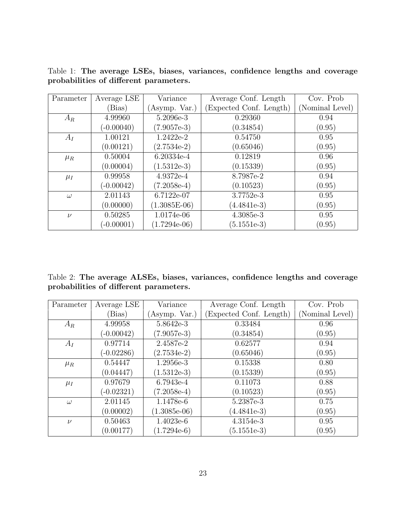Table 1: The average LSEs, biases, variances, confidence lengths and coverage probabilities of different parameters.

| Parameter | Average LSE  | Variance       | Average Conf. Length   | Cov. Prob.      |
|-----------|--------------|----------------|------------------------|-----------------|
|           | (Bias)       | Asymp. Var.)   | Expected Conf. Length) | (Nominal Level) |
| $A_R$     | 4.99960      | 5.2096e-3      | 0.29360                | 0.94            |
|           | $(-0.00040)$ | $(7.9057e-3)$  | (0.34854)              | (0.95)          |
| $A_I$     | 1.00121      | 1.2422e-2      | 0.54750                | 0.95            |
|           | (0.00121)    | $(2.7534e-2)$  | (0.65046)              | (0.95)          |
| $\mu_R$   | 0.50004      | 6.20334e-4     | 0.12819                | 0.96            |
|           | (0.00004)    | $(1.5312e-3)$  | (0.15339)              | (0.95)          |
| $\mu_I$   | 0.99958      | 4.9372e-4      | 8.7987e-2              | 0.94            |
|           | $(-0.00042)$ | $(7.2058e-4)$  | (0.10523)              | (0.95)          |
| $\omega$  | 2.01143      | 6.7122e-07     | 3.7752e-3              | 0.95            |
|           | (0.00000)    | $(1.3085E-06)$ | $(4.4841e-3)$          | (0.95)          |
| $\nu$     | 0.50285      | 1.0174e-06     | 4.3085e-3              | 0.95            |
|           | $(-0.00001)$ | $(1.7294e-06)$ | $(5.1551e-3)$          | (0.95)          |

Table 2: The average ALSEs, biases, variances, confidence lengths and coverage probabilities of different parameters.

| Parameter | Average LSE  | Variance       | Average Conf. Length   | Cov. Prob       |
|-----------|--------------|----------------|------------------------|-----------------|
|           | (Bias)       | (Asymp. Var.)  | Expected Conf. Length) | (Nominal Level) |
| $A_R$     | 4.99958      | 5.8642e-3      | 0.33484                | 0.96            |
|           | $(-0.00042)$ | $(7.9057e-3)$  | (0.34854)              | (0.95)          |
| $A_I$     | 0.97714      | 2.4587e-2      | 0.62577                | 0.94            |
|           | $(-0.02286)$ | $(2.7534e-2)$  | (0.65046)              | (0.95)          |
| $\mu_R$   | 0.54447      | 1.2956e-3      | 0.15338                | 0.80            |
|           | (0.04447)    | $(1.5312e-3)$  | (0.15339)              | (0.95)          |
| $\mu_I$   | 0.97679      | 6.7943e-4      | 0.11073                | 0.88            |
|           | $(-0.02321)$ | $(7.2058e-4)$  | (0.10523)              | (0.95)          |
| $\omega$  | 2.01145      | 1.1478e-6      | 5.2387e-3              | 0.75            |
|           | (0.00002)    | $(1.3085e-06)$ | $(4.4841e-3)$          | (0.95)          |
| $\nu$     | 0.50463      | 1.4023e-6      | 4.3154e-3              | 0.95            |
|           | (0.00177)    | $(1.7294e-6)$  | $(5.1551e-3)$          | (0.95)          |